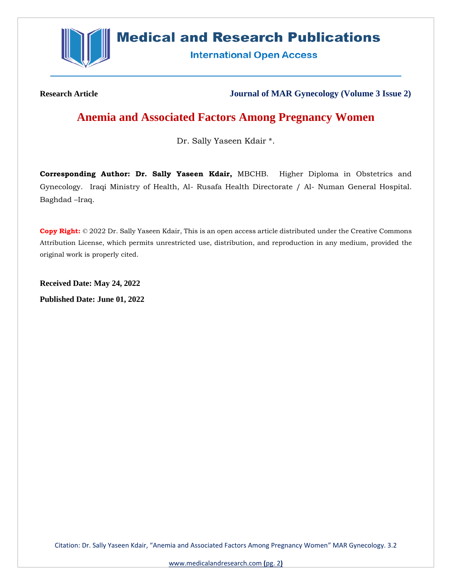

# **Medical and Research Publications**

**International Open Access** 

**Research Article Journal of MAR Gynecology (Volume 3 Issue 2)**

## **Anemia and Associated Factors Among Pregnancy Women**

Dr. Sally Yaseen Kdair \*.

**Corresponding Author: Dr. Sally Yaseen Kdair,** MBCHB. Higher Diploma in Obstetrics and Gynecology. Iraqi Ministry of Health, Al- Rusafa Health Directorate / Al- Numan General Hospital. Baghdad –Iraq.

**Copy Right:** © 2022 Dr. Sally Yaseen Kdair, This is an open access article distributed under the Creative Commons Attribution License, which permits unrestricted use, distribution, and reproduction in any medium, provided the original work is properly cited.

**Received Date: May 24, 2022 Published Date: June 01, 2022**

Citation: Dr. Sally Yaseen Kdair, "Anemia and Associated Factors Among Pregnancy Women" MAR Gynecology. 3.2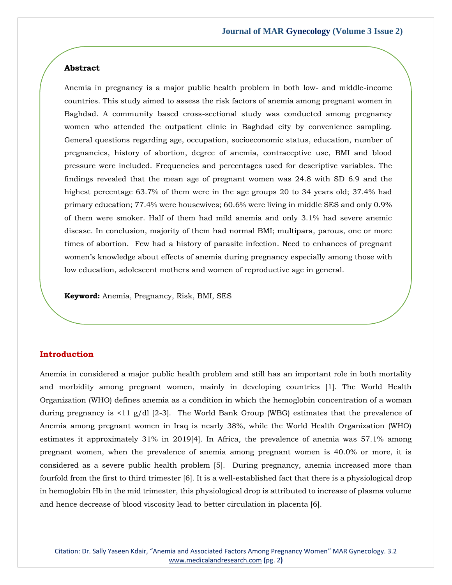#### **Abstract**

Anemia in pregnancy is a major public health problem in both low- and middle-income countries. This study aimed to assess the risk factors of anemia among pregnant women in Baghdad. A community based cross-sectional study was conducted among pregnancy women who attended the outpatient clinic in Baghdad city by convenience sampling. General questions regarding age, occupation, socioeconomic status, education, number of pregnancies, history of abortion, degree of anemia, contraceptive use, BMI and blood pressure were included. Frequencies and percentages used for descriptive variables. The findings revealed that the mean age of pregnant women was 24.8 with SD 6.9 and the highest percentage 63.7% of them were in the age groups 20 to 34 years old; 37.4% had primary education; 77.4% were housewives; 60.6% were living in middle SES and only 0.9% of them were smoker. Half of them had mild anemia and only 3.1% had severe anemic disease. In conclusion, majority of them had normal BMI; multipara, parous, one or more times of abortion. Few had a history of parasite infection. Need to enhances of pregnant women's knowledge about effects of anemia during pregnancy especially among those with low education, adolescent mothers and women of reproductive age in general.

**Keyword:** Anemia, Pregnancy, Risk, BMI, SES

#### **Introduction**

Anemia in considered a major public health problem and still has an important role in both mortality and morbidity among pregnant women, mainly in developing countries [1]. The World Health Organization (WHO) defines anemia as a condition in which the hemoglobin concentration of a woman during pregnancy is <11 g/dl [2-3]. The World Bank Group (WBG) estimates that the prevalence of Anemia among pregnant women in Iraq is nearly 38%, while the World Health Organization (WHO) estimates it approximately 31% in 2019[4]. In Africa, the prevalence of anemia was 57.1% among pregnant women, when the prevalence of anemia among pregnant women is 40.0% or more, it is considered as a severe public health problem [5]. During pregnancy, anemia increased more than fourfold from the first to third trimester [6]. It is a well-established fact that there is a physiological drop in hemoglobin Hb in the mid trimester, this physiological drop is attributed to increase of plasma volume and hence decrease of blood viscosity lead to better circulation in placenta [6].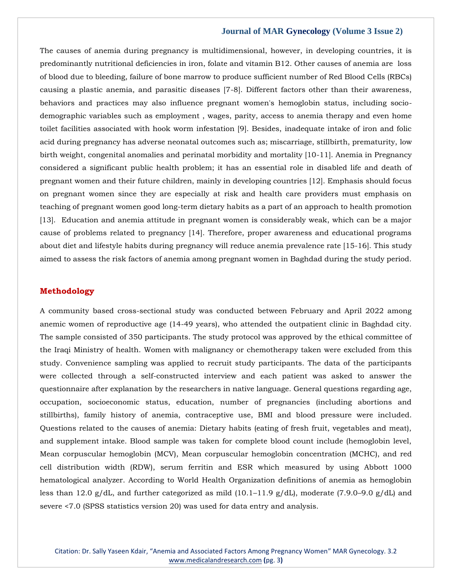The causes of anemia during pregnancy is multidimensional, however, in developing countries, it is predominantly nutritional deficiencies in iron, folate and vitamin B12. Other causes of anemia are loss of blood due to bleeding, failure of bone marrow to produce sufficient number of Red Blood Cells (RBCs) causing a plastic anemia, and parasitic diseases [7-8]. Different factors other than their awareness, behaviors and practices may also influence pregnant women's hemoglobin status, including sociodemographic variables such as employment , wages, parity, access to anemia therapy and even home toilet facilities associated with hook worm infestation [9]. Besides, inadequate intake of iron and folic acid during pregnancy has adverse neonatal outcomes such as; miscarriage, stillbirth, prematurity, low birth weight, congenital anomalies and perinatal morbidity and mortality [10-11]. Anemia in Pregnancy considered a significant public health problem; it has an essential role in disabled life and death of pregnant women and their future children, mainly in developing countries [12]. Emphasis should focus on pregnant women since they are especially at risk and health care providers must emphasis on teaching of pregnant women good long-term dietary habits as a part of an approach to health promotion [13]. Education and anemia attitude in pregnant women is considerably weak, which can be a major cause of problems related to pregnancy [14]. Therefore, proper awareness and educational programs about diet and lifestyle habits during pregnancy will reduce anemia prevalence rate [15-16]. This study aimed to assess the risk factors of anemia among pregnant women in Baghdad during the study period.

#### **Methodology**

A community based cross-sectional study was conducted between February and April 2022 among anemic women of reproductive age (14-49 years), who attended the outpatient clinic in Baghdad city. The sample consisted of 350 participants. The study protocol was approved by the ethical committee of the Iraqi Ministry of health. Women with malignancy or chemotherapy taken were excluded from this study. Convenience sampling was applied to recruit study participants. The data of the participants were collected through a self-constructed interview and each patient was asked to answer the questionnaire after explanation by the researchers in native language. General questions regarding age, occupation, socioeconomic status, education, number of pregnancies (including abortions and stillbirths), family history of anemia, contraceptive use, BMI and blood pressure were included. Questions related to the causes of anemia: Dietary habits (eating of fresh fruit, vegetables and meat), and supplement intake. Blood sample was taken for complete blood count include (hemoglobin level, Mean corpuscular hemoglobin (MCV), Mean corpuscular hemoglobin concentration (MCHC), and red cell distribution width (RDW), serum ferritin and ESR which measured by using Abbott 1000 hematological analyzer. According to World Health Organization definitions of anemia as hemoglobin less than 12.0 g/dL, and further categorized as mild  $(10.1-11.9 \text{ g}/\text{dL})$ , moderate  $(7.9.0-9.0 \text{ g}/\text{dL})$  and severe <7.0 (SPSS statistics version 20) was used for data entry and analysis.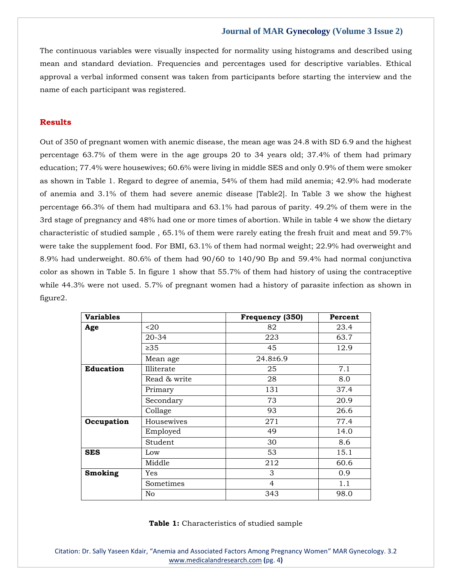The continuous variables were visually inspected for normality using histograms and described using mean and standard deviation. Frequencies and percentages used for descriptive variables. Ethical approval a verbal informed consent was taken from participants before starting the interview and the name of each participant was registered.

#### **Results**

Out of 350 of pregnant women with anemic disease, the mean age was 24.8 with SD 6.9 and the highest percentage 63.7% of them were in the age groups 20 to 34 years old; 37.4% of them had primary education; 77.4% were housewives; 60.6% were living in middle SES and only 0.9% of them were smoker as shown in Table 1. Regard to degree of anemia, 54% of them had mild anemia; 42.9% had moderate of anemia and 3.1% of them had severe anemic disease [Table2]. In Table 3 we show the highest percentage 66.3% of them had multipara and 63.1% had parous of parity. 49.2% of them were in the 3rd stage of pregnancy and 48% had one or more times of abortion. While in table 4 we show the dietary characteristic of studied sample , 65.1% of them were rarely eating the fresh fruit and meat and 59.7% were take the supplement food. For BMI, 63.1% of them had normal weight; 22.9% had overweight and 8.9% had underweight. 80.6% of them had 90/60 to 140/90 Bp and 59.4% had normal conjunctiva color as shown in Table 5. In figure 1 show that 55.7% of them had history of using the contraceptive while 44.3% were not used. 5.7% of pregnant women had a history of parasite infection as shown in figure2.

| <b>Variables</b> |                  | Frequency (350) | Percent |
|------------------|------------------|-----------------|---------|
| Age              | 20 <sub>20</sub> | 82              | 23.4    |
|                  | 20-34            | 223             | 63.7    |
|                  | $\geq 35$        | 45              | 12.9    |
|                  | Mean age         | 24.8±6.9        |         |
| <b>Education</b> | Illiterate       | 25              | 7.1     |
|                  | Read & write     | 28              | 8.0     |
|                  | Primary          | 131             | 37.4    |
|                  | Secondary        | 73              | 20.9    |
|                  | Collage          | 93              | 26.6    |
| Occupation       | Housewives       | 271             | 77.4    |
|                  | Employed         | 49              | 14.0    |
|                  | Student          | 30              | 8.6     |
| <b>SES</b>       | Low              | 53              | 15.1    |
|                  | Middle           | 212             | 60.6    |
| <b>Smoking</b>   | Yes              | 3               | 0.9     |
|                  | Sometimes        | $\overline{4}$  | 1.1     |
|                  | No               | 343             | 98.0    |

**Table 1:** Characteristics of studied sample

Citation: Dr. Sally Yaseen Kdair, "Anemia and Associated Factors Among Pregnancy Women" MAR Gynecology. 3.2 [www.medicalandresearch.com](http://www.medicalandresearch.com/) **(**pg. 4**)**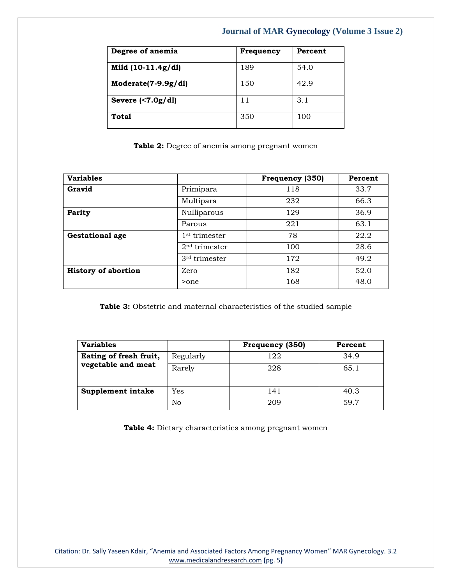| Degree of anemia    | Frequency | Percent |
|---------------------|-----------|---------|
| Mild (10-11.4g/dl)  | 189       | 54.0    |
| Moderate(7-9.9g/dl) | 150       | 42.9    |
| Severe $(7.0g/dl)$  | 11        | 3.1     |
| Total               | 350       | 100     |

**Table 2:** Degree of anemia among pregnant women

| <b>Variables</b>           |                           | Frequency (350) | Percent |
|----------------------------|---------------------------|-----------------|---------|
| Gravid                     | Primipara                 | 118             | 33.7    |
|                            | Multipara                 | 232             | 66.3    |
| <b>Parity</b>              | Nulliparous               | 129             | 36.9    |
|                            | Parous                    | 221             | 63.1    |
| <b>Gestational age</b>     | 1 <sup>st</sup> trimester | 78              | 22.2    |
|                            | 2 <sup>nd</sup> trimester | 100             | 28.6    |
|                            | 3 <sup>rd</sup> trimester | 172             | 49.2    |
| <b>History of abortion</b> | Zero                      | 182             | 52.0    |
|                            | >one                      | 168             | 48.0    |

**Table 3:** Obstetric and maternal characteristics of the studied sample

| <b>Variables</b>       |           | Frequency (350) | Percent |
|------------------------|-----------|-----------------|---------|
| Eating of fresh fruit, | Regularly | 122             | 34.9    |
| vegetable and meat     | Rarely    | 228             | 65.1    |
|                        |           |                 |         |
| Supplement intake      | Yes       | 141             | 40.3    |
|                        | No        | 209             | 59.7    |

**Table 4:** Dietary characteristics among pregnant women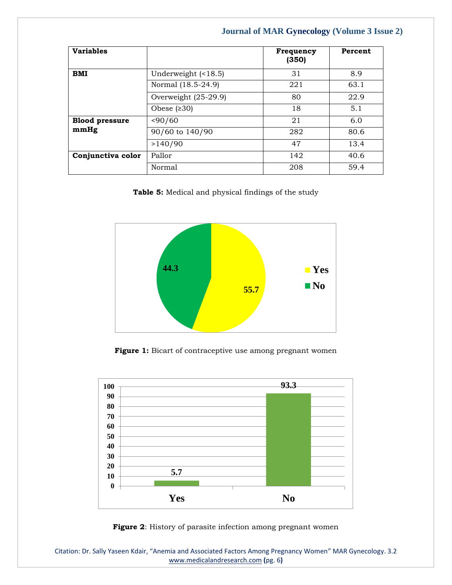| <b>Variables</b>      |                           | <b>Frequency</b><br>(350) | Percent |
|-----------------------|---------------------------|---------------------------|---------|
| <b>BMI</b>            | Underweight $($ <18.5 $)$ | 31                        | 8.9     |
|                       | Normal (18.5-24.9)        | 221                       | 63.1    |
|                       | Overweight (25-29.9)      | 80                        | 22.9    |
|                       | Obese $(230)$             | 18                        | 5.1     |
| <b>Blood pressure</b> | < 90/60                   | 21                        | 6.0     |
| mmHg                  | 90/60 to 140/90           | 282                       | 80.6    |
|                       | >140/90                   | 47                        | 13.4    |
| Conjunctiva color     | Pallor                    | 142                       | 40.6    |
|                       | Normal                    | 208                       | 59.4    |

**Table 5:** Medical and physical findings of the study



Figure 1: Bicart of contraceptive use among pregnant women





Citation: Dr. Sally Yaseen Kdair, "Anemia and Associated Factors Among Pregnancy Women" MAR Gynecology. 3.2 [www.medicalandresearch.com](http://www.medicalandresearch.com/) **(**pg. 6**)**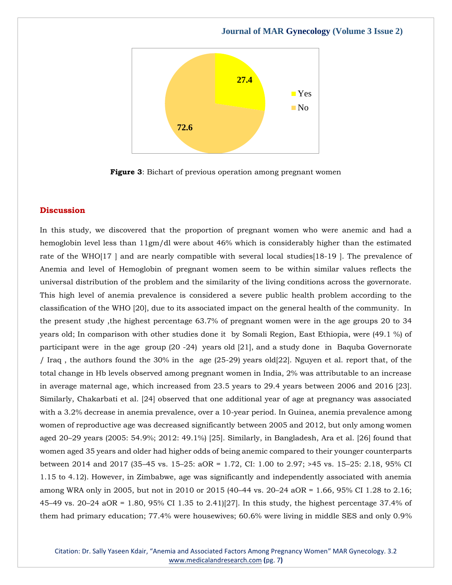

**Figure 3**: Bichart of previous operation among pregnant women

#### **Discussion**

In this study, we discovered that the proportion of pregnant women who were anemic and had a hemoglobin level less than 11gm/dl were about 46% which is considerably higher than the estimated rate of the WHO[17 ] and are nearly compatible with several local studies[18-19 ]. The prevalence of Anemia and level of Hemoglobin of pregnant women seem to be within similar values reflects the universal distribution of the problem and the similarity of the living conditions across the governorate. This high level of anemia prevalence is considered a severe public health problem according to the classification of the WHO [20], due to its associated impact on the general health of the community. In the present study ,the highest percentage 63.7% of pregnant women were in the age groups 20 to 34 years old; In comparison with other studies done it by Somali Region, East Ethiopia, were (49.1 %) of participant were in the age group (20 -24) years old [21], and a study done in Baquba Governorate / Iraq , the authors found the 30% in the age (25-29) years old[22]. Nguyen et al. report that, of the total change in Hb levels observed among pregnant women in India, 2% was attributable to an increase in average maternal age, which increased from 23.5 years to 29.4 years between 2006 and 2016 [23]. Similarly, Chakarbati et al. [24] observed that one additional year of age at pregnancy was associated with a 3.2% decrease in anemia prevalence, over a 10-year period. In Guinea, anemia prevalence among women of reproductive age was decreased significantly between 2005 and 2012, but only among women aged 20–29 years (2005: 54.9%; 2012: 49.1%) [25]. Similarly, in Bangladesh, Ara et al. [26] found that women aged 35 years and older had higher odds of being anemic compared to their younger counterparts between 2014 and 2017 (35–45 vs. 15–25: aOR = 1.72, CI: 1.00 to 2.97; >45 vs. 15–25: 2.18, 95% CI 1.15 to 4.12). However, in Zimbabwe, age was significantly and independently associated with anemia among WRA only in 2005, but not in 2010 or 2015 (40–44 vs. 20–24 aOR = 1.66, 95% CI 1.28 to 2.16; 45–49 vs. 20–24 aOR = 1.80, 95% CI 1.35 to 2.41)[27]. In this study, the highest percentage 37.4% of them had primary education; 77.4% were housewives; 60.6% were living in middle SES and only 0.9%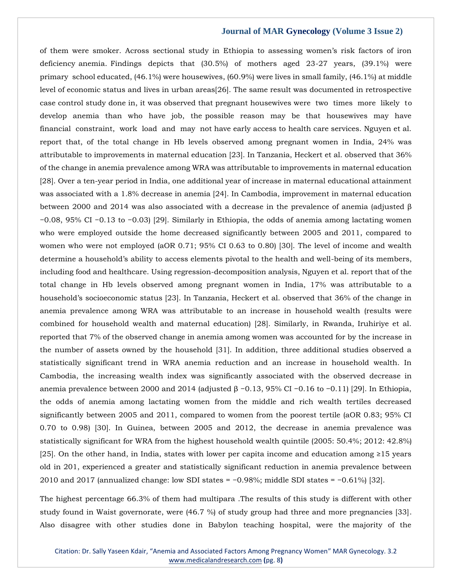of them were smoker. Across sectional study in Ethiopia to assessing women's risk factors of iron deficiency anemia. Findings depicts that (30.5%) of mothers aged 23-27 years, (39.1%) were primary school educated, (46.1%) were housewives, (60.9%) were lives in small family, (46.1%) at middle level of economic status and lives in urban areas[26]. The same result was documented in retrospective case control study done in, it was observed that pregnant housewives were two times more likely to develop anemia than who have job, the possible reason may be that housewives may have financial constraint, work load and may not have early access to health care services. Nguyen et al. report that, of the total change in Hb levels observed among pregnant women in India, 24% was attributable to improvements in maternal education [23]. In Tanzania, Heckert et al. observed that 36% of the change in anemia prevalence among WRA was attributable to improvements in maternal education [28]. Over a ten-year period in India, one additional year of increase in maternal educational attainment was associated with a 1.8% decrease in anemia [24]. In Cambodia, improvement in maternal education between 2000 and 2014 was also associated with a decrease in the prevalence of anemia (adjusted β −0.08, 95% CI −0.13 to −0.03) [29]. Similarly in Ethiopia, the odds of anemia among lactating women who were employed outside the home decreased significantly between 2005 and 2011, compared to women who were not employed (aOR 0.71; 95% CI 0.63 to 0.80) [30]. The level of income and wealth determine a household's ability to access elements pivotal to the health and well-being of its members, including food and healthcare. Using regression-decomposition analysis, Nguyen et al. report that of the total change in Hb levels observed among pregnant women in India, 17% was attributable to a household's socioeconomic status [23]. In Tanzania, Heckert et al. observed that 36% of the change in anemia prevalence among WRA was attributable to an increase in household wealth (results were combined for household wealth and maternal education) [28]. Similarly, in Rwanda, Iruhiriye et al. reported that 7% of the observed change in anemia among women was accounted for by the increase in the number of assets owned by the household [31]. In addition, three additional studies observed a statistically significant trend in WRA anemia reduction and an increase in household wealth. In Cambodia, the increasing wealth index was significantly associated with the observed decrease in anemia prevalence between 2000 and 2014 (adjusted  $\beta$  -0.13, 95% CI -0.16 to -0.11) [29]. In Ethiopia, the odds of anemia among lactating women from the middle and rich wealth tertiles decreased significantly between 2005 and 2011, compared to women from the poorest tertile (aOR 0.83; 95% CI 0.70 to 0.98) [30]. In Guinea, between 2005 and 2012, the decrease in anemia prevalence was statistically significant for WRA from the highest household wealth quintile (2005: 50.4%; 2012: 42.8%) [25]. On the other hand, in India, states with lower per capita income and education among ≥15 years old in 201, experienced a greater and statistically significant reduction in anemia prevalence between 2010 and 2017 (annualized change: low SDI states = −0.98%; middle SDI states = −0.61%) [32].

The highest percentage 66.3% of them had multipara .The results of this study is different with other study found in Waist governorate, were (46.7 %) of study group had three and more pregnancies [33]. Also disagree with other studies done in Babylon teaching hospital, were the majority of the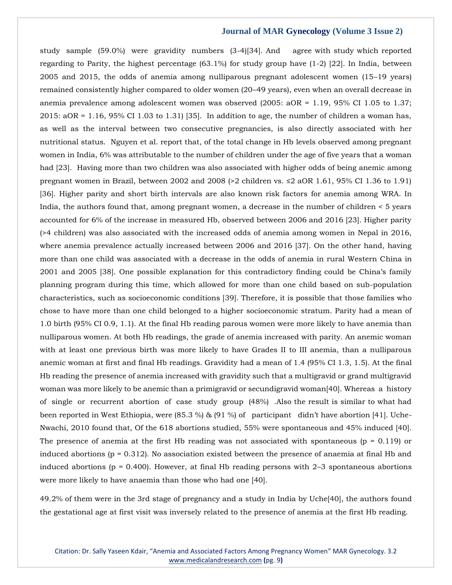study sample (59.0%) were gravidity numbers (3-4)[34]. And agree with study which reported regarding to Parity, the highest percentage (63.1%) for study group have (1-2) [22]. In India, between 2005 and 2015, the odds of anemia among nulliparous pregnant adolescent women (15–19 years) remained consistently higher compared to older women (20–49 years), even when an overall decrease in anemia prevalence among adolescent women was observed (2005: aOR = 1.19, 95% CI 1.05 to 1.37;  $2015: aOR = 1.16$ , 95% CI 1.03 to 1.31) [35]. In addition to age, the number of children a woman has, as well as the interval between two consecutive pregnancies, is also directly associated with her nutritional status. Nguyen et al. report that, of the total change in Hb levels observed among pregnant women in India, 6% was attributable to the number of children under the age of five years that a woman had [23]. Having more than two children was also associated with higher odds of being anemic among pregnant women in Brazil, between 2002 and 2008 (>2 children vs. ≤2 aOR 1.61, 95% CI 1.36 to 1.91) [36]. Higher parity and short birth intervals are also known risk factors for anemia among WRA. In India, the authors found that, among pregnant women, a decrease in the number of children < 5 years accounted for 6% of the increase in measured Hb, observed between 2006 and 2016 [23]. Higher parity (>4 children) was also associated with the increased odds of anemia among women in Nepal in 2016, where anemia prevalence actually increased between 2006 and 2016 [37]. On the other hand, having more than one child was associated with a decrease in the odds of anemia in rural Western China in 2001 and 2005 [38]. One possible explanation for this contradictory finding could be China's family planning program during this time, which allowed for more than one child based on sub-population characteristics, such as socioeconomic conditions [39]. Therefore, it is possible that those families who chose to have more than one child belonged to a higher socioeconomic stratum. Parity had a mean of 1.0 birth (95% CI 0.9, 1.1). At the final Hb reading parous women were more likely to have anemia than nulliparous women. At both Hb readings, the grade of anemia increased with parity. An anemic woman with at least one previous birth was more likely to have Grades II to III anemia, than a nulliparous anemic woman at first and final Hb readings. Gravidity had a mean of 1.4 (95% CI 1.3, 1.5). At the final Hb reading the presence of anemia increased with gravidity such that a multigravid or grand multigravid woman was more likely to be anemic than a primigravid or secundigravid woman[40]. Whereas a history of single or recurrent abortion of case study group (48%) .Also the result is similar to what had been reported in West Ethiopia, were (85.3 %) & (91 %) of participant didn't have abortion [41]. Uche-Nwachi, 2010 found that, Of the 618 abortions studied, 55% were spontaneous and 45% induced [40]. The presence of anemia at the first Hb reading was not associated with spontaneous ( $p = 0.119$ ) or induced abortions ( $p = 0.312$ ). No association existed between the presence of anaemia at final Hb and induced abortions ( $p = 0.400$ ). However, at final Hb reading persons with 2-3 spontaneous abortions were more likely to have anaemia than those who had one [40].

49.2% of them were in the 3rd stage of pregnancy and a study in India by Uche[40], the authors found the gestational age at first visit was inversely related to the presence of anemia at the first Hb reading.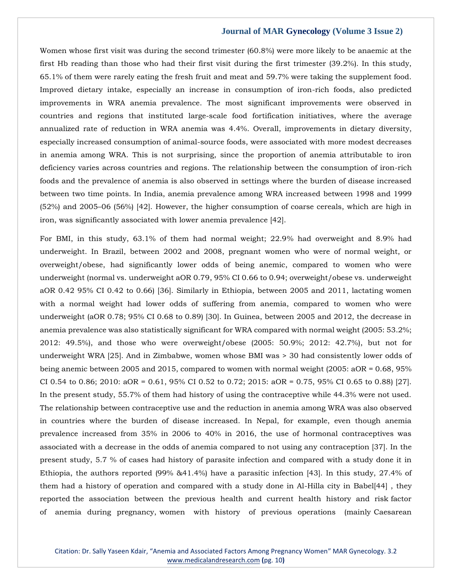Women whose first visit was during the second trimester (60.8%) were more likely to be anaemic at the first Hb reading than those who had their first visit during the first trimester (39.2%). In this study, 65.1% of them were rarely eating the fresh fruit and meat and 59.7% were taking the supplement food. Improved dietary intake, especially an increase in consumption of iron-rich foods, also predicted improvements in WRA anemia prevalence. The most significant improvements were observed in countries and regions that instituted large-scale food fortification initiatives, where the average annualized rate of reduction in WRA anemia was 4.4%. Overall, improvements in dietary diversity, especially increased consumption of animal-source foods, were associated with more modest decreases in anemia among WRA. This is not surprising, since the proportion of anemia attributable to iron deficiency varies across countries and regions. The relationship between the consumption of iron-rich foods and the prevalence of anemia is also observed in settings where the burden of disease increased between two time points. In India, anemia prevalence among WRA increased between 1998 and 1999 (52%) and 2005–06 (56%) [42]. However, the higher consumption of coarse cereals, which are high in iron, was significantly associated with lower anemia prevalence [42].

For BMI, in this study, 63.1% of them had normal weight; 22.9% had overweight and 8.9% had underweight. In Brazil, between 2002 and 2008, pregnant women who were of normal weight, or overweight/obese, had significantly lower odds of being anemic, compared to women who were underweight (normal vs. underweight aOR 0.79, 95% CI 0.66 to 0.94; overweight/obese vs. underweight aOR 0.42 95% CI 0.42 to 0.66) [36]. Similarly in Ethiopia, between 2005 and 2011, lactating women with a normal weight had lower odds of suffering from anemia, compared to women who were underweight (aOR 0.78; 95% CI 0.68 to 0.89) [30]. In Guinea, between 2005 and 2012, the decrease in anemia prevalence was also statistically significant for WRA compared with normal weight (2005: 53.2%; 2012: 49.5%), and those who were overweight/obese (2005: 50.9%; 2012: 42.7%), but not for underweight WRA [25]. And in Zimbabwe, women whose BMI was > 30 had consistently lower odds of being anemic between 2005 and 2015, compared to women with normal weight (2005: aOR = 0.68, 95% CI 0.54 to 0.86; 2010: aOR = 0.61, 95% CI 0.52 to 0.72; 2015: aOR = 0.75, 95% CI 0.65 to 0.88) [27]. In the present study, 55.7% of them had history of using the contraceptive while 44.3% were not used. The relationship between contraceptive use and the reduction in anemia among WRA was also observed in countries where the burden of disease increased. In Nepal, for example, even though anemia prevalence increased from 35% in 2006 to 40% in 2016, the use of hormonal contraceptives was associated with a decrease in the odds of anemia compared to not using any contraception [37]. In the present study, 5.7 % of cases had history of parasite infection and compared with a study done it in Ethiopia, the authors reported (99% &41.4%) have a parasitic infection [43]. In this study, 27.4% of them had a history of operation and compared with a study done in Al-Hilla city in Babel[44] , they reported the association between the previous health and current health history and risk factor of anemia during pregnancy, women with history of previous operations (mainly Caesarean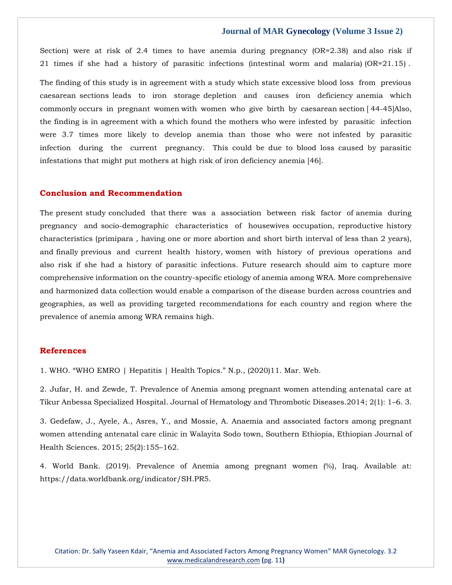Section) were at risk of 2.4 times to have anemia during pregnancy (OR=2.38) and also risk if 21 times if she had a history of parasitic infections (intestinal worm and malaria) (OR=21.15) .

The finding of this study is in agreement with a study which state excessive blood loss from previous caesarean sections leads to iron storage depletion and causes iron deficiency anemia which commonly occurs in pregnant women with women who give birth by caesarean section [ 44-45]Also, the finding is in agreement with a which found the mothers who were infested by parasitic infection were 3.7 times more likely to develop anemia than those who were not infested by parasitic infection during the current pregnancy. This could be due to blood loss caused by parasitic infestations that might put mothers at high risk of iron deficiency anemia [46].

#### **Conclusion and Recommendation**

The present study concluded that there was a association between risk factor of anemia during pregnancy and socio-demographic characteristics of housewives occupation, reproductive history characteristics (primipara , having one or more abortion and short birth interval of less than 2 years), and finally previous and current health history, women with history of previous operations and also risk if she had a history of parasitic infections. Future research should aim to capture more comprehensive information on the country-specific etiology of anemia among WRA. More comprehensive and harmonized data collection would enable a comparison of the disease burden across countries and geographies, as well as providing targeted recommendations for each country and region where the prevalence of anemia among WRA remains high.

#### **References**

1. WHO. "WHO EMRO | Hepatitis | Health Topics." N.p., (2020)11. Mar. Web.

2. Jufar, H. and Zewde, T. Prevalence of Anemia among pregnant women attending antenatal care at Tikur Anbessa Specialized Hospital. Journal of Hematology and Thrombotic Diseases.2014; 2(1): 1–6. 3.

3. Gedefaw, J., Ayele, A., Asres, Y., and Mossie, A. Anaemia and associated factors among pregnant women attending antenatal care clinic in Walayita Sodo town, Southern Ethiopia, Ethiopian Journal of Health Sciences. 2015; 25(2):155–162.

4. World Bank. (2019). Prevalence of Anemia among pregnant women (%), Iraq. Available at: https://data.worldbank.org/indicator/SH.PR5.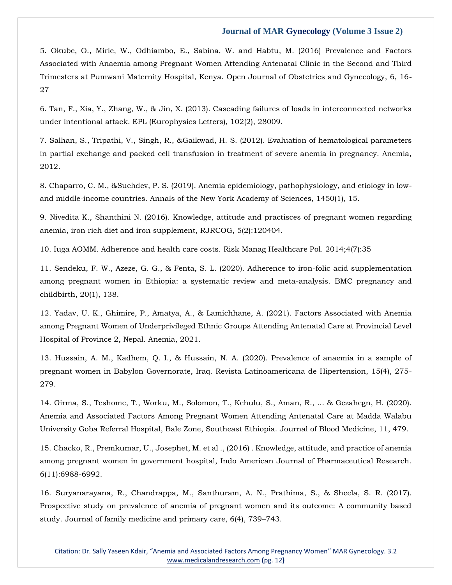5. Okube, O., Mirie, W., Odhiambo, E., Sabina, W. and Habtu, M. (2016) Prevalence and Factors Associated with Anaemia among Pregnant Women Attending Antenatal Clinic in the Second and Third Trimesters at Pumwani Maternity Hospital, Kenya. Open Journal of Obstetrics and Gynecology, 6, 16- 27

6. Tan, F., Xia, Y., Zhang, W., & Jin, X. (2013). Cascading failures of loads in interconnected networks under intentional attack. EPL (Europhysics Letters), 102(2), 28009.

7. Salhan, S., Tripathi, V., Singh, R., &Gaikwad, H. S. (2012). Evaluation of hematological parameters in partial exchange and packed cell transfusion in treatment of severe anemia in pregnancy. Anemia, 2012.

8. Chaparro, C. M., &Suchdev, P. S. (2019). Anemia epidemiology, pathophysiology, and etiology in lowand middle-income countries. Annals of the New York Academy of Sciences, 1450(1), 15.

9. Nivedita K., Shanthini N. (2016). Knowledge, attitude and practisces of pregnant women regarding anemia, iron rich diet and iron supplement, RJRCOG, 5(2):120404.

10. Iuga AOMM. Adherence and health care costs. Risk Manag Healthcare Pol. 2014;4(7):35

11. Sendeku, F. W., Azeze, G. G., & Fenta, S. L. (2020). Adherence to iron-folic acid supplementation among pregnant women in Ethiopia: a systematic review and meta-analysis. BMC pregnancy and childbirth, 20(1), 138.

12. Yadav, U. K., Ghimire, P., Amatya, A., & Lamichhane, A. (2021). Factors Associated with Anemia among Pregnant Women of Underprivileged Ethnic Groups Attending Antenatal Care at Provincial Level Hospital of Province 2, Nepal. Anemia, 2021.

13. Hussain, A. M., Kadhem, Q. I., & Hussain, N. A. (2020). Prevalence of anaemia in a sample of pregnant women in Babylon Governorate, Iraq. Revista Latinoamericana de Hipertension, 15(4), 275- 279.

14. Girma, S., Teshome, T., Worku, M., Solomon, T., Kehulu, S., Aman, R., ... & Gezahegn, H. (2020). Anemia and Associated Factors Among Pregnant Women Attending Antenatal Care at Madda Walabu University Goba Referral Hospital, Bale Zone, Southeast Ethiopia. Journal of Blood Medicine, 11, 479.

15. Chacko, R., Premkumar, U., Josephet, M. et al ., (2016) . Knowledge, attitude, and practice of anemia among pregnant women in government hospital, Indo American Journal of Pharmaceutical Research. 6(11):6988-6992.

16. Suryanarayana, R., Chandrappa, M., Santhuram, A. N., Prathima, S., & Sheela, S. R. (2017). Prospective study on prevalence of anemia of pregnant women and its outcome: A community based study. Journal of family medicine and primary care, 6(4), 739–743.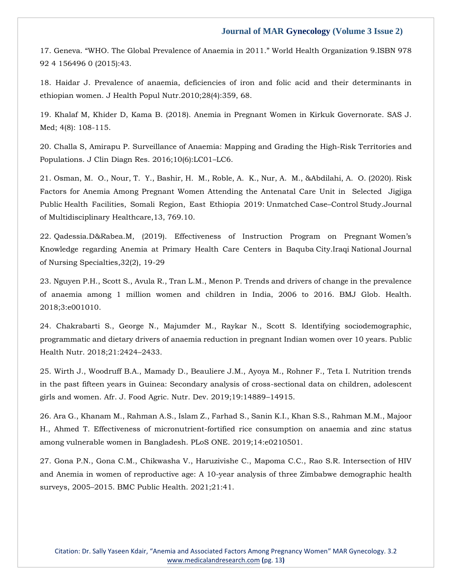17. Geneva. "WHO. The Global Prevalence of Anaemia in 2011." World Health Organization 9.ISBN 978 92 4 156496 0 (2015):43.

18. Haidar J. Prevalence of anaemia, deficiencies of iron and folic acid and their determinants in ethiopian women. J Health Popul Nutr.2010;28(4):359, 68.

19. Khalaf M, Khider D, Kama B. (2018). Anemia in Pregnant Women in Kirkuk Governorate. SAS J. Med; 4(8): 108-115.

20. Challa S, Amirapu P. Surveillance of Anaemia: Mapping and Grading the High-Risk Territories and Populations. J Clin Diagn Res. 2016;10(6):LC01–LC6.

21. Osman, M. O., Nour, T. Y., Bashir, H. M., Roble, A. K., Nur, A. M., &Abdilahi, A. O. (2020). Risk Factors for Anemia Among Pregnant Women Attending the Antenatal Care Unit in Selected Jigjiga Public Health Facilities, Somali Region, East Ethiopia 2019: Unmatched Case–Control Study.Journal of Multidisciplinary Healthcare,13, 769.10.

22. Qadessia.D&Rabea.M, (2019). Effectiveness of Instruction Program on Pregnant Women's Knowledge regarding Anemia at Primary Health Care Centers in Baquba City.Iraqi National Journal of Nursing Specialties,32(2), 19-29

23. Nguyen P.H., Scott S., Avula R., Tran L.M., Menon P. Trends and drivers of change in the prevalence of anaemia among 1 million women and children in India, 2006 to 2016. BMJ Glob. Health. 2018;3:e001010.

24. Chakrabarti S., George N., Majumder M., Raykar N., Scott S. Identifying sociodemographic, programmatic and dietary drivers of anaemia reduction in pregnant Indian women over 10 years. Public Health Nutr. 2018;21:2424–2433.

25. Wirth J., Woodruff B.A., Mamady D., Beauliere J.M., Ayoya M., Rohner F., Teta I. Nutrition trends in the past fifteen years in Guinea: Secondary analysis of cross-sectional data on children, adolescent girls and women. Afr. J. Food Agric. Nutr. Dev. 2019;19:14889–14915.

26. Ara G., Khanam M., Rahman A.S., Islam Z., Farhad S., Sanin K.I., Khan S.S., Rahman M.M., Majoor H., Ahmed T. Effectiveness of micronutrient-fortified rice consumption on anaemia and zinc status among vulnerable women in Bangladesh. PLoS ONE. 2019;14:e0210501.

27. Gona P.N., Gona C.M., Chikwasha V., Haruzivishe C., Mapoma C.C., Rao S.R. Intersection of HIV and Anemia in women of reproductive age: A 10-year analysis of three Zimbabwe demographic health surveys, 2005–2015. BMC Public Health. 2021;21:41.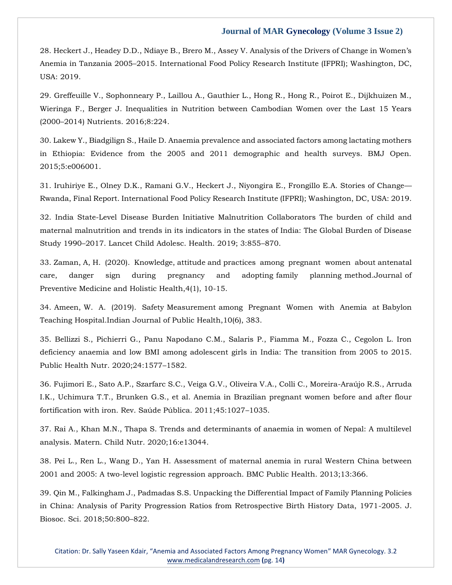28. Heckert J., Headey D.D., Ndiaye B., Brero M., Assey V. Analysis of the Drivers of Change in Women's Anemia in Tanzania 2005–2015. International Food Policy Research Institute (IFPRI); Washington, DC, USA: 2019.

29. Greffeuille V., Sophonneary P., Laillou A., Gauthier L., Hong R., Hong R., Poirot E., Dijkhuizen M., Wieringa F., Berger J. Inequalities in Nutrition between Cambodian Women over the Last 15 Years (2000–2014) Nutrients. 2016;8:224.

30. Lakew Y., Biadgilign S., Haile D. Anaemia prevalence and associated factors among lactating mothers in Ethiopia: Evidence from the 2005 and 2011 demographic and health surveys. BMJ Open. 2015;5:e006001.

31. Iruhiriye E., Olney D.K., Ramani G.V., Heckert J., Niyongira E., Frongillo E.A. Stories of Change— Rwanda, Final Report. International Food Policy Research Institute (IFPRI); Washington, DC, USA: 2019.

32. India State-Level Disease Burden Initiative Malnutrition Collaborators The burden of child and maternal malnutrition and trends in its indicators in the states of India: The Global Burden of Disease Study 1990–2017. Lancet Child Adolesc. Health. 2019; 3:855–870.

33. Zaman, A, H. (2020). Knowledge, attitude and practices among pregnant women about antenatal care, danger sign during pregnancy and adopting family planning method.Journal of Preventive Medicine and Holistic Health,4(1), 10-15.

34. Ameen, W. A. (2019). Safety Measurement among Pregnant Women with Anemia at Babylon Teaching Hospital.Indian Journal of Public Health,10(6), 383.

35. Bellizzi S., Pichierri G., Panu Napodano C.M., Salaris P., Fiamma M., Fozza C., Cegolon L. Iron deficiency anaemia and low BMI among adolescent girls in India: The transition from 2005 to 2015. Public Health Nutr. 2020;24:1577–1582.

36. Fujimori E., Sato A.P., Szarfarc S.C., Veiga G.V., Oliveira V.A., Colli C., Moreira-Araújo R.S., Arruda I.K., Uchimura T.T., Brunken G.S., et al. Anemia in Brazilian pregnant women before and after flour fortification with iron. Rev. Saúde Pública. 2011;45:1027–1035.

37. Rai A., Khan M.N., Thapa S. Trends and determinants of anaemia in women of Nepal: A multilevel analysis. Matern. Child Nutr. 2020;16:e13044.

38. Pei L., Ren L., Wang D., Yan H. Assessment of maternal anemia in rural Western China between 2001 and 2005: A two-level logistic regression approach. BMC Public Health. 2013;13:366.

39. Qin M., Falkingham J., Padmadas S.S. Unpacking the Differential Impact of Family Planning Policies in China: Analysis of Parity Progression Ratios from Retrospective Birth History Data, 1971-2005. J. Biosoc. Sci. 2018;50:800–822.